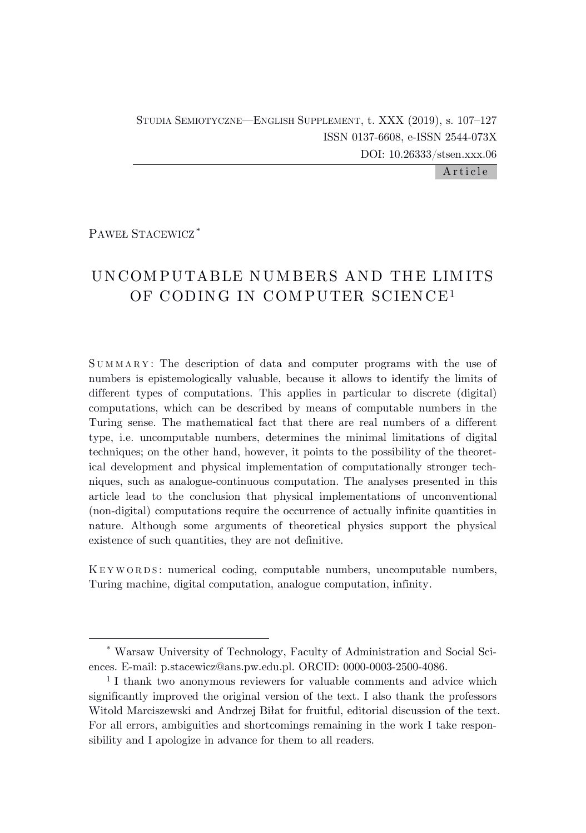STUDIA SEMIOTYCZNE—ENGLISH SUPPLEMENT, t. XXX (2019), s. 107–127 ISSN 0137-6608, e-ISSN 2544-073X DOI: 10.26333/stsen.xxx.06

Article

PAWEŁ STACEWICZ \*

# UNCOM PUTABLE NUM BERS AND THE LIM ITS OF CODING IN COMPUTER SCIENCE<sup>1</sup>

S U M M A R Y : The description of data and computer programs with the use of numbers is epistemologically valuable, because it allows to identify the limits of different types of computations. This applies in particular to discrete (digital) computations, which can be described by means of computable numbers in the Turing sense. The mathematical fact that there are real numbers of a different type, i.e. uncomputable numbers, determines the minimal limitations of digital techniques; on the other hand, however, it points to the possibility of the theoretical development and physical implementation of computationally stronger techniques, such as analogue-continuous computation. The analyses presented in this article lead to the conclusion that physical implementations of unconventional (non-digital) computations require the occurrence of actually infinite quantities in nature. Although some arguments of theoretical physics support the physical existence of such quantities, they are not definitive.

K E Y W O R D S : numerical coding, computable numbers, uncomputable numbers, Turing machine, digital computation, analogue computation, infinity.

<sup>\*</sup> Warsaw University of Technology, Faculty of Administration and Social Sciences. E-mail: p.stacewicz@ans.pw.edu.pl. ORCID: 0000-0003-2500-4086.

<sup>&</sup>lt;sup>1</sup> I thank two anonymous reviewers for valuable comments and advice which significantly improved the original version of the text. I also thank the professors Witold Marciszewski and Andrzej Biłat for fruitful, editorial discussion of the text. For all errors, ambiguities and shortcomings remaining in the work I take responsibility and I apologize in advance for them to all readers.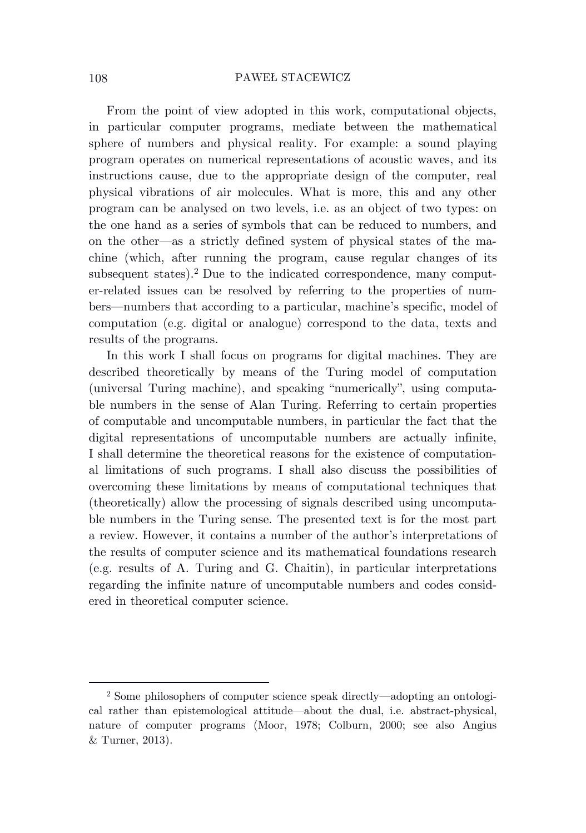From the point of view adopted in this work, computational objects, in particular computer programs, mediate between the mathematical sphere of numbers and physical reality. For example: a sound playing program operates on numerical representations of acoustic waves, and its instructions cause, due to the appropriate design of the computer, real physical vibrations of air molecules. What is more, this and any other program can be analysed on two levels, i.e. as an object of two types: on the one hand as a series of symbols that can be reduced to numbers, and on the other—as a strictly defined system of physical states of the machine (which, after running the program, cause regular changes of its subsequent states). <sup>2</sup> Due to the indicated correspondence, many computer-related issues can be resolved by referring to the properties of numbers—numbers that according to a particular, machine's specific, model of computation (e.g. digital or analogue) correspond to the data, texts and results of the programs.

In this work I shall focus on programs for digital machines. They are described theoretically by means of the Turing model of computation (universal Turing machine), and speaking "numerically", using computable numbers in the sense of Alan Turing. Referring to certain properties of computable and uncomputable numbers, in particular the fact that the digital representations of uncomputable numbers are actually infinite, I shall determine the theoretical reasons for the existence of computational limitations of such programs. I shall also discuss the possibilities of overcoming these limitations by means of computational techniques that (theoretically) allow the processing of signals described using uncomputable numbers in the Turing sense. The presented text is for the most part a review. However, it contains a number of the author's interpretations of the results of computer science and its mathematical foundations research (e.g. results of A. Turing and G. Chaitin), in particular interpretations regarding the infinite nature of uncomputable numbers and codes considered in theoretical computer science.

<sup>2</sup> Some philosophers of computer science speak directly—adopting an ontological rather than epistemological attitude—about the dual, i.e. abstract-physical, nature of computer programs (Moor, 1978; Colburn, 2000; see also Angius & Turner, 2013).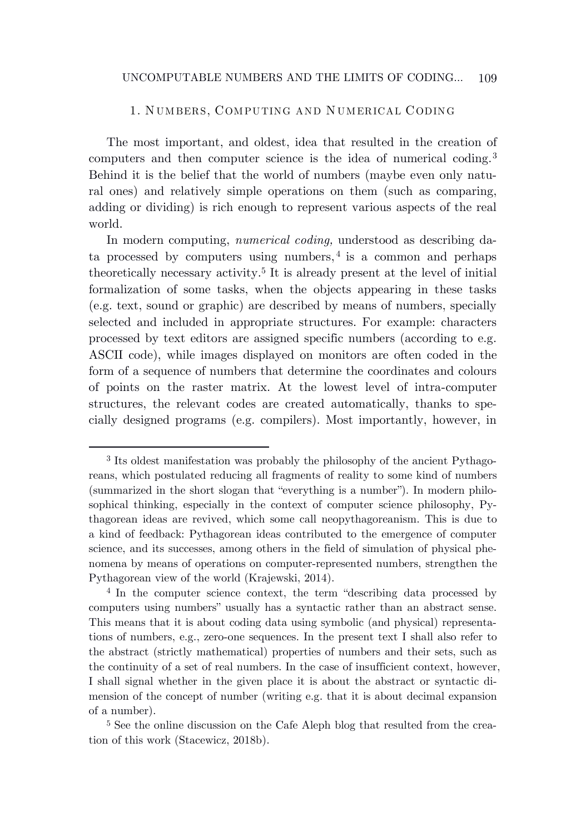# 1. N UMBERS, COMPUTING AND N UMERICAL CODING

The most important, and oldest, idea that resulted in the creation of computers and then computer science is the idea of numerical coding. 3 Behind it is the belief that the world of numbers (maybe even only natural ones) and relatively simple operations on them (such as comparing, adding or dividing) is rich enough to represent various aspects of the real world.

In modern computing, *numerical coding,* understood as describing data processed by computers using numbers, 4 is a common and perhaps theoretically necessary activity. 5 It is already present at the level of initial formalization of some tasks, when the objects appearing in these tasks (e.g. text, sound or graphic) are described by means of numbers, specially selected and included in appropriate structures. For example: characters processed by text editors are assigned specific numbers (according to e.g. ASCII code), while images displayed on monitors are often coded in the form of a sequence of numbers that determine the coordinates and colours of points on the raster matrix. At the lowest level of intra-computer structures, the relevant codes are created automatically, thanks to specially designed programs (e.g. compilers). Most importantly, however, in

<sup>3</sup> Its oldest manifestation was probably the philosophy of the ancient Pythagoreans, which postulated reducing all fragments of reality to some kind of numbers (summarized in the short slogan that "everything is a number"). In modern philosophical thinking, especially in the context of computer science philosophy, Pythagorean ideas are revived, which some call neopythagoreanism. This is due to a kind of feedback: Pythagorean ideas contributed to the emergence of computer science, and its successes, among others in the field of simulation of physical phenomena by means of operations on computer-represented numbers, strengthen the Pythagorean view of the world (Krajewski, 2014).

<sup>4</sup> In the computer science context, the term "describing data processed by computers using numbers" usually has a syntactic rather than an abstract sense. This means that it is about coding data using symbolic (and physical) representations of numbers, e.g., zero-one sequences. In the present text I shall also refer to the abstract (strictly mathematical) properties of numbers and their sets, such as the continuity of a set of real numbers. In the case of insufficient context, however, I shall signal whether in the given place it is about the abstract or syntactic dimension of the concept of number (writing e.g. that it is about decimal expansion of a number).

<sup>5</sup> See the online discussion on the Cafe Aleph blog that resulted from the creation of this work (Stacewicz, 2018b).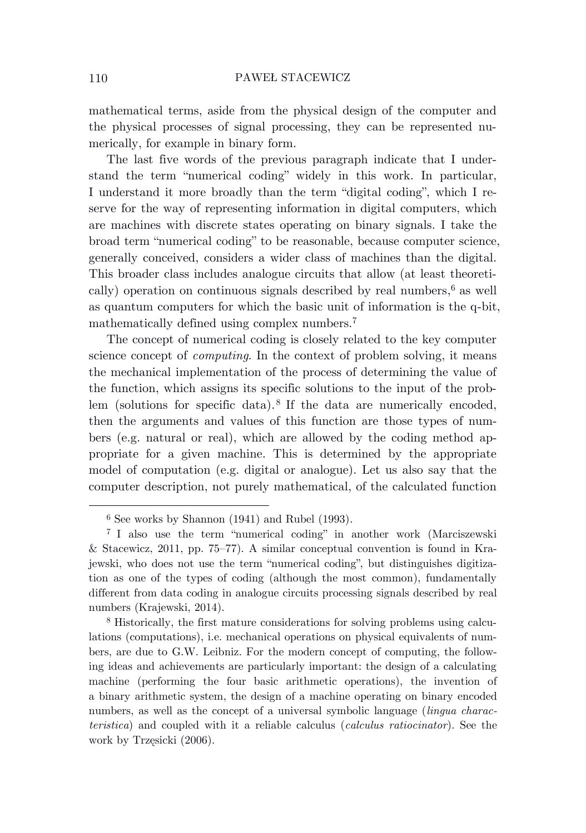mathematical terms, aside from the physical design of the computer and the physical processes of signal processing, they can be represented numerically, for example in binary form.

The last five words of the previous paragraph indicate that I understand the term "numerical coding" widely in this work. In particular, I understand it more broadly than the term "digital coding", which I reserve for the way of representing information in digital computers, which are machines with discrete states operating on binary signals. I take the broad term "numerical coding" to be reasonable, because computer science, generally conceived, considers a wider class of machines than the digital. This broader class includes analogue circuits that allow (at least theoretically) operation on continuous signals described by real numbers, <sup>6</sup> as well as quantum computers for which the basic unit of information is the q-bit, mathematically defined using complex numbers. 7

The concept of numerical coding is closely related to the key computer science concept of *computing*. In the context of problem solving, it means the mechanical implementation of the process of determining the value of the function, which assigns its specific solutions to the input of the problem (solutions for specific data). 8 If the data are numerically encoded, then the arguments and values of this function are those types of numbers (e.g. natural or real), which are allowed by the coding method appropriate for a given machine. This is determined by the appropriate model of computation (e.g. digital or analogue). Let us also say that the computer description, not purely mathematical, of the calculated function

 $6$  See works by Shannon (1941) and Rubel (1993).

<sup>7</sup> I also use the term "numerical coding" in another work (Marciszewski & Stacewicz, 2011, pp. 75–77). A similar conceptual convention is found in Krajewski, who does not use the term "numerical coding", but distinguishes digitization as one of the types of coding (although the most common), fundamentally different from data coding in analogue circuits processing signals described by real numbers (Krajewski, 2014).

<sup>8</sup> Historically, the first mature considerations for solving problems using calculations (computations), i.e. mechanical operations on physical equivalents of numbers, are due to G.W. Leibniz. For the modern concept of computing, the following ideas and achievements are particularly important: the design of a calculating machine (performing the four basic arithmetic operations), the invention of a binary arithmetic system, the design of a machine operating on binary encoded numbers, as well as the concept of a universal symbolic language (*lingua characteristica*) and coupled with it a reliable calculus (*calculus ratiocinator*). See the work by Trzęsicki (2006).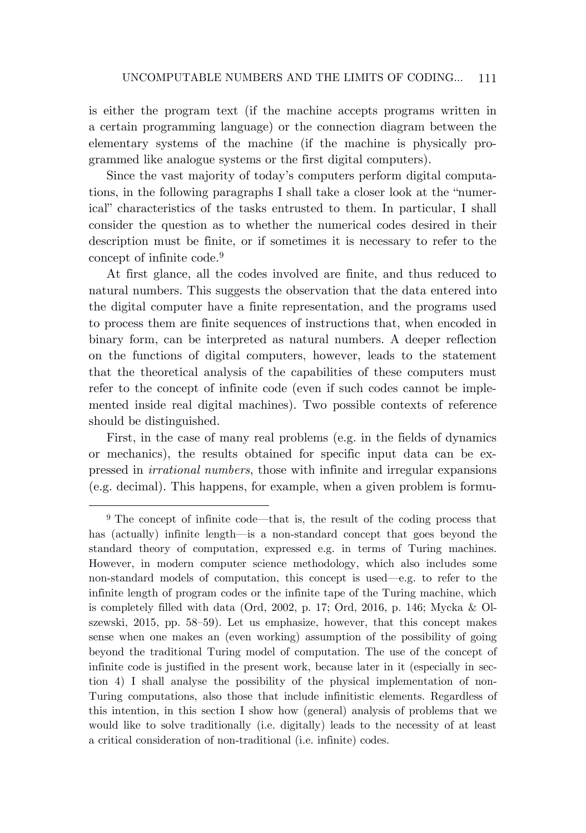is either the program text (if the machine accepts programs written in a certain programming language) or the connection diagram between the elementary systems of the machine (if the machine is physically programmed like analogue systems or the first digital computers).

Since the vast majority of today's computers perform digital computations, in the following paragraphs I shall take a closer look at the "numerical" characteristics of the tasks entrusted to them. In particular, I shall consider the question as to whether the numerical codes desired in their description must be finite, or if sometimes it is necessary to refer to the concept of infinite code. 9

At first glance, all the codes involved are finite, and thus reduced to natural numbers. This suggests the observation that the data entered into the digital computer have a finite representation, and the programs used to process them are finite sequences of instructions that, when encoded in binary form, can be interpreted as natural numbers. A deeper reflection on the functions of digital computers, however, leads to the statement that the theoretical analysis of the capabilities of these computers must refer to the concept of infinite code (even if such codes cannot be implemented inside real digital machines). Two possible contexts of reference should be distinguished.

First, in the case of many real problems (e.g. in the fields of dynamics or mechanics), the results obtained for specific input data can be expressed in *irrational numbers*, those with infinite and irregular expansions (e.g. decimal). This happens, for example, when a given problem is formu-

<sup>9</sup> The concept of infinite code—that is, the result of the coding process that has (actually) infinite length—is a non-standard concept that goes beyond the standard theory of computation, expressed e.g. in terms of Turing machines. However, in modern computer science methodology, which also includes some non-standard models of computation, this concept is used—e.g. to refer to the infinite length of program codes or the infinite tape of the Turing machine, which is completely filled with data (Ord, 2002, p. 17; Ord, 2016, p. 146; Mycka & Olszewski, 2015, pp. 58–59). Let us emphasize, however, that this concept makes sense when one makes an (even working) assumption of the possibility of going beyond the traditional Turing model of computation. The use of the concept of infinite code is justified in the present work, because later in it (especially in section 4) I shall analyse the possibility of the physical implementation of non-Turing computations, also those that include infinitistic elements. Regardless of this intention, in this section I show how (general) analysis of problems that we would like to solve traditionally (i.e. digitally) leads to the necessity of at least a critical consideration of non-traditional (i.e. infinite) codes.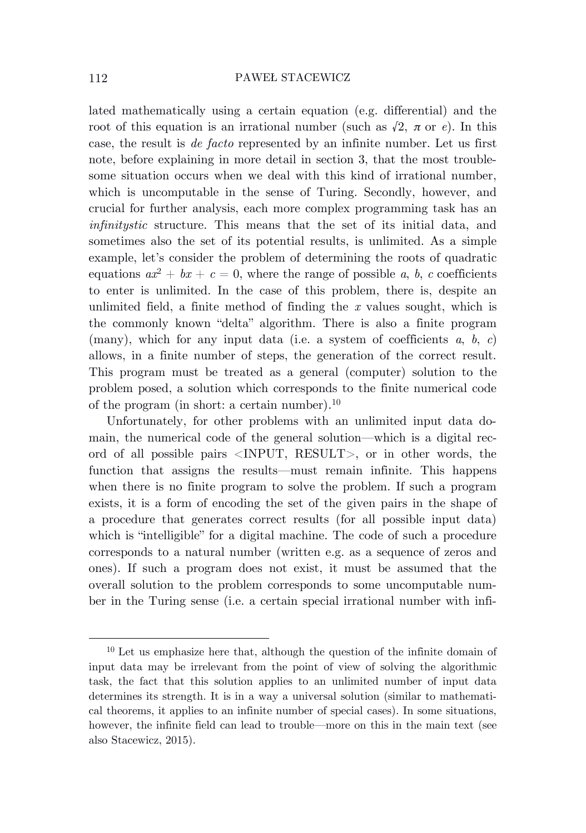lated mathematically using a certain equation (e.g. differential) and the root of this equation is an irrational number (such as  $\sqrt{2}$ ,  $\pi$  or *e*). In this case, the result is *de facto* represented by an infinite number. Let us first note, before explaining in more detail in section 3, that the most troublesome situation occurs when we deal with this kind of irrational number, which is uncomputable in the sense of Turing. Secondly, however, and crucial for further analysis, each more complex programming task has an *infinitystic* structure. This means that the set of its initial data, and sometimes also the set of its potential results, is unlimited. As a simple example, let's consider the problem of determining the roots of quadratic equations  $ax^2 + bx + c = 0$ , where the range of possible *a*, *b*, *c* coefficients to enter is unlimited. In the case of this problem, there is, despite an unlimited field, a finite method of finding the *x* values sought, which is the commonly known "delta" algorithm. There is also a finite program (many), which for any input data (i.e. a system of coefficients  $a, b, c$ ) allows, in a finite number of steps, the generation of the correct result. This program must be treated as a general (computer) solution to the problem posed, a solution which corresponds to the finite numerical code of the program (in short: a certain number). 10

Unfortunately, for other problems with an unlimited input data domain, the numerical code of the general solution—which is a digital record of all possible pairs <INPUT, RESULT>, or in other words, the function that assigns the results—must remain infinite. This happens when there is no finite program to solve the problem. If such a program exists, it is a form of encoding the set of the given pairs in the shape of a procedure that generates correct results (for all possible input data) which is "intelligible" for a digital machine. The code of such a procedure corresponds to a natural number (written e.g. as a sequence of zeros and ones). If such a program does not exist, it must be assumed that the overall solution to the problem corresponds to some uncomputable number in the Turing sense (i.e. a certain special irrational number with infi-

<sup>10</sup> Let us emphasize here that, although the question of the infinite domain of input data may be irrelevant from the point of view of solving the algorithmic task, the fact that this solution applies to an unlimited number of input data determines its strength. It is in a way a universal solution (similar to mathematical theorems, it applies to an infinite number of special cases). In some situations, however, the infinite field can lead to trouble—more on this in the main text (see also Stacewicz, 2015).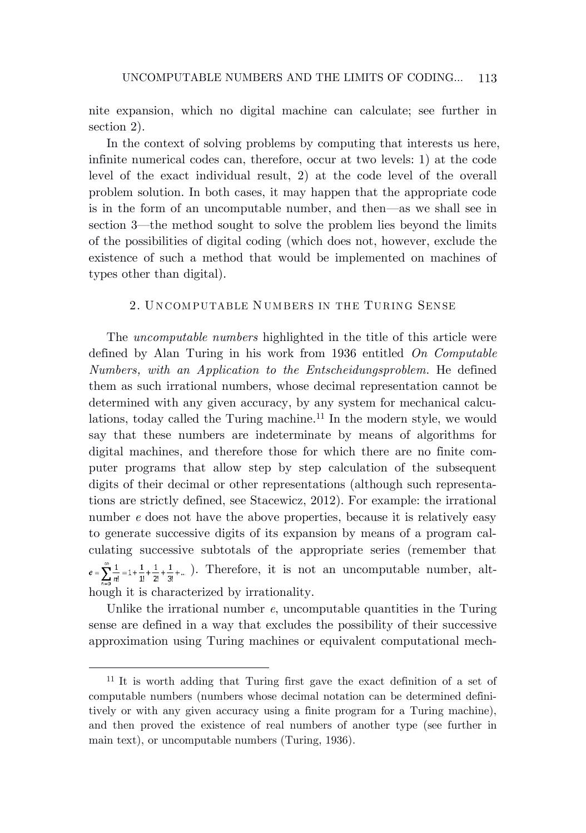nite expansion, which no digital machine can calculate; see further in section 2).

In the context of solving problems by computing that interests us here, infinite numerical codes can, therefore, occur at two levels: 1) at the code level of the exact individual result, 2) at the code level of the overall problem solution. In both cases, it may happen that the appropriate code is in the form of an uncomputable number, and then—as we shall see in section 3—the method sought to solve the problem lies beyond the limits of the possibilities of digital coding (which does not, however, exclude the existence of such a method that would be implemented on machines of types other than digital).

# 2. UNCOMPUTABLE NUMBERS IN THE TURING SENSE

The *uncomputable numbers* highlighted in the title of this article were defined by Alan Turing in his work from 1936 entitled *On Computable Numbers, with an Application to the Entscheidungsproblem*. He defined them as such irrational numbers, whose decimal representation cannot be determined with any given accuracy, by any system for mechanical calculations, today called the Turing machine. <sup>11</sup> In the modern style, we would say that these numbers are indeterminate by means of algorithms for digital machines, and therefore those for which there are no finite computer programs that allow step by step calculation of the subsequent digits of their decimal or other representations (although such representations are strictly defined, see Stacewicz, 2012). For example: the irrational number *e* does not have the above properties, because it is relatively easy to generate successive digits of its expansion by means of a program calculating successive subtotals of the appropriate series (remember that  $e=\sum_{n=0}^{\infty}\frac{1}{n!}=1+\frac{1}{1!}+\frac{1}{2!}+\frac{1}{3!}+...$  ). Therefore, it is not an uncomputable number, although it is characterized by irrationality.

Unlike the irrational number *e*, uncomputable quantities in the Turing sense are defined in a way that excludes the possibility of their successive approximation using Turing machines or equivalent computational mech-

<sup>11</sup> It is worth adding that Turing first gave the exact definition of a set of computable numbers (numbers whose decimal notation can be determined definitively or with any given accuracy using a finite program for a Turing machine), and then proved the existence of real numbers of another type (see further in main text), or uncomputable numbers (Turing, 1936).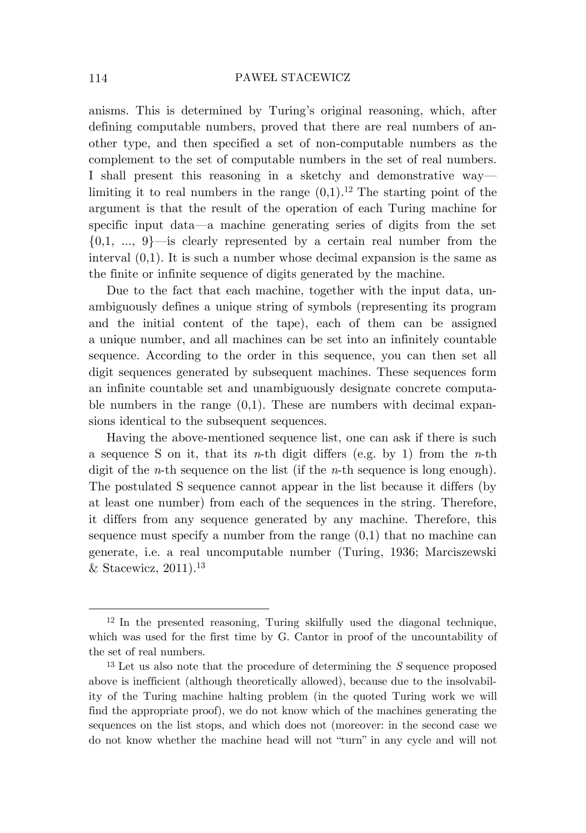anisms. This is determined by Turing's original reasoning, which, after defining computable numbers, proved that there are real numbers of another type, and then specified a set of non-computable numbers as the complement to the set of computable numbers in the set of real numbers. I shall present this reasoning in a sketchy and demonstrative way limiting it to real numbers in the range  $(0,1)$ .<sup>12</sup> The starting point of the argument is that the result of the operation of each Turing machine for specific input data—a machine generating series of digits from the set  $\{0,1, \ldots, 9\}$ —is clearly represented by a certain real number from the interval (0,1). It is such a number whose decimal expansion is the same as the finite or infinite sequence of digits generated by the machine.

Due to the fact that each machine, together with the input data, unambiguously defines a unique string of symbols (representing its program and the initial content of the tape), each of them can be assigned a unique number, and all machines can be set into an infinitely countable sequence. According to the order in this sequence, you can then set all digit sequences generated by subsequent machines. These sequences form an infinite countable set and unambiguously designate concrete computable numbers in the range  $(0,1)$ . These are numbers with decimal expansions identical to the subsequent sequences.

Having the above-mentioned sequence list, one can ask if there is such a sequence S on it, that its *n*-th digit differs (e.g. by 1) from the *n*-th digit of the *n*-th sequence on the list (if the *n*-th sequence is long enough). The postulated S sequence cannot appear in the list because it differs (by at least one number) from each of the sequences in the string. Therefore, it differs from any sequence generated by any machine. Therefore, this sequence must specify a number from the range  $(0,1)$  that no machine can generate, i.e. a real uncomputable number (Turing, 1936; Marciszewski & Stacewicz, 2011). 13

 $12$  In the presented reasoning, Turing skilfully used the diagonal technique, which was used for the first time by G. Cantor in proof of the uncountability of the set of real numbers.

<sup>13</sup> Let us also note that the procedure of determining the *S* sequence proposed above is inefficient (although theoretically allowed), because due to the insolvability of the Turing machine halting problem (in the quoted Turing work we will find the appropriate proof), we do not know which of the machines generating the sequences on the list stops, and which does not (moreover: in the second case we do not know whether the machine head will not "turn" in any cycle and will not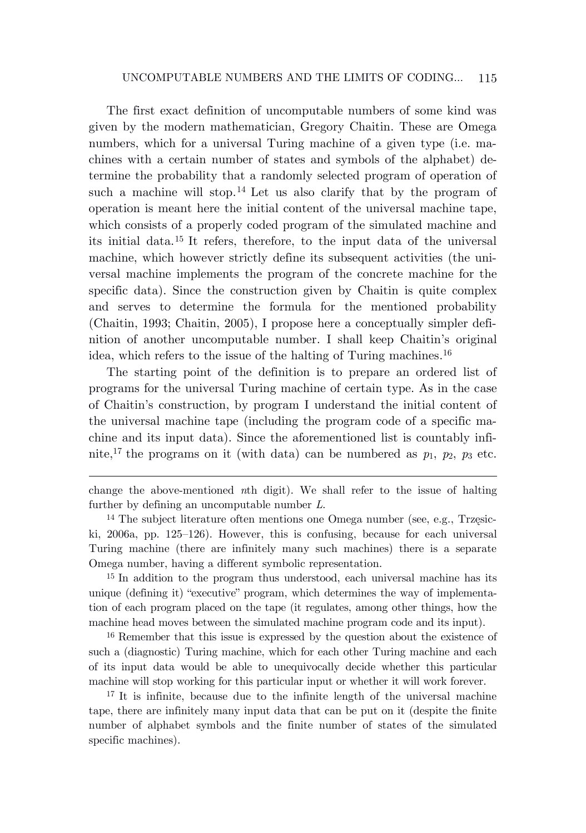The first exact definition of uncomputable numbers of some kind was given by the modern mathematician, Gregory Chaitin. These are Omega numbers, which for a universal Turing machine of a given type (i.e. machines with a certain number of states and symbols of the alphabet) determine the probability that a randomly selected program of operation of such a machine will stop.<sup>14</sup> Let us also clarify that by the program of operation is meant here the initial content of the universal machine tape, which consists of a properly coded program of the simulated machine and its initial data. <sup>15</sup> It refers, therefore, to the input data of the universal machine, which however strictly define its subsequent activities (the universal machine implements the program of the concrete machine for the specific data). Since the construction given by Chaitin is quite complex and serves to determine the formula for the mentioned probability (Chaitin, 1993; Chaitin, 2005), I propose here a conceptually simpler definition of another uncomputable number. I shall keep Chaitin's original idea, which refers to the issue of the halting of Turing machines. 16

The starting point of the definition is to prepare an ordered list of programs for the universal Turing machine of certain type. As in the case of Chaitin's construction, by program I understand the initial content of the universal machine tape (including the program code of a specific machine and its input data). Since the aforementioned list is countably infinite,<sup>17</sup> the programs on it (with data) can be numbered as  $p_1$ ,  $p_2$ ,  $p_3$  etc.

change the above-mentioned *n*th digit). We shall refer to the issue of halting further by defining an uncomputable number *L*.

<sup>14</sup> The subject literature often mentions one Omega number (see, e.g., Trzęsicki, 2006a, pp. 125–126). However, this is confusing, because for each universal Turing machine (there are infinitely many such machines) there is a separate Omega number, having a different symbolic representation.

<sup>15</sup> In addition to the program thus understood, each universal machine has its unique (defining it) "executive" program, which determines the way of implementation of each program placed on the tape (it regulates, among other things, how the machine head moves between the simulated machine program code and its input).

<sup>16</sup> Remember that this issue is expressed by the question about the existence of such a (diagnostic) Turing machine, which for each other Turing machine and each of its input data would be able to unequivocally decide whether this particular machine will stop working for this particular input or whether it will work forever.

<sup>17</sup> It is infinite, because due to the infinite length of the universal machine tape, there are infinitely many input data that can be put on it (despite the finite number of alphabet symbols and the finite number of states of the simulated specific machines).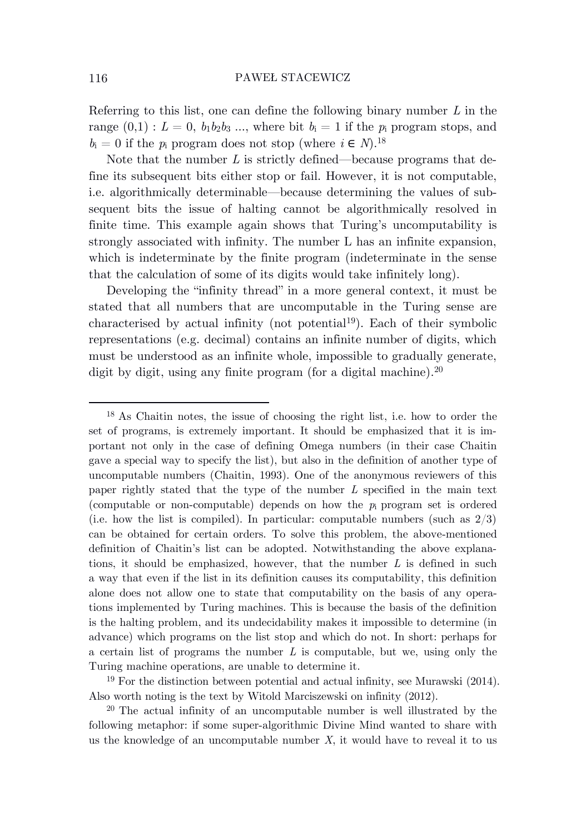Referring to this list, one can define the following binary number *L* in the range  $(0,1): L = 0$ ,  $b_1b_2b_3...$ , where bit  $b_i = 1$  if the  $p_i$  program stops, and  $b_i = 0$  if the  $p_i$  program does not stop (where  $i \in N$ ).<sup>18</sup>

Note that the number *L* is strictly defined—because programs that define its subsequent bits either stop or fail. However, it is not computable, i.e. algorithmically determinable—because determining the values of subsequent bits the issue of halting cannot be algorithmically resolved in finite time. This example again shows that Turing's uncomputability is strongly associated with infinity. The number L has an infinite expansion, which is indeterminate by the finite program (indeterminate in the sense that the calculation of some of its digits would take infinitely long).

Developing the "infinity thread" in a more general context, it must be stated that all numbers that are uncomputable in the Turing sense are characterised by actual infinity (not potential<sup>19</sup>). Each of their symbolic representations (e.g. decimal) contains an infinite number of digits, which must be understood as an infinite whole, impossible to gradually generate, digit by digit, using any finite program (for a digital machine).<sup>20</sup>

<sup>19</sup> For the distinction between potential and actual infinity, see Murawski (2014). Also worth noting is the text by Witold Marciszewski on infinity (2012).

<sup>20</sup> The actual infinity of an uncomputable number is well illustrated by the following metaphor: if some super-algorithmic Divine Mind wanted to share with us the knowledge of an uncomputable number  $X$ , it would have to reveal it to us

<sup>18</sup> As Chaitin notes, the issue of choosing the right list, i.e. how to order the set of programs, is extremely important. It should be emphasized that it is important not only in the case of defining Omega numbers (in their case Chaitin gave a special way to specify the list), but also in the definition of another type of uncomputable numbers (Chaitin, 1993). One of the anonymous reviewers of this paper rightly stated that the type of the number *L* specified in the main text (computable or non-computable) depends on how the  $p_i$  program set is ordered (i.e. how the list is compiled). In particular: computable numbers (such as  $2/3$ ) can be obtained for certain orders. To solve this problem, the above-mentioned definition of Chaitin's list can be adopted. Notwithstanding the above explanations, it should be emphasized, however, that the number *L* is defined in such a way that even if the list in its definition causes its computability, this definition alone does not allow one to state that computability on the basis of any operations implemented by Turing machines. This is because the basis of the definition is the halting problem, and its undecidability makes it impossible to determine (in advance) which programs on the list stop and which do not. In short: perhaps for a certain list of programs the number *L* is computable, but we, using only the Turing machine operations, are unable to determine it.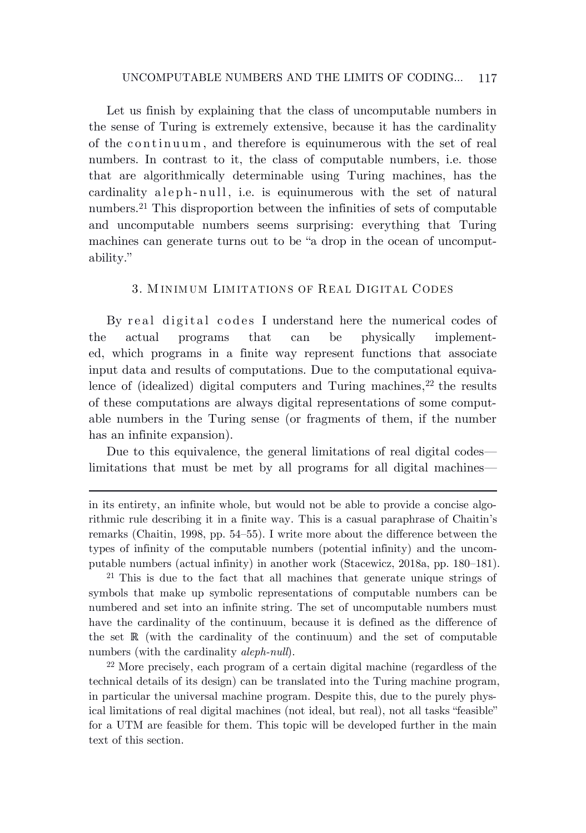# UNCOMPUTABLE NUMBERS AND THE LIMITS OF CODING… 117

Let us finish by explaining that the class of uncomputable numbers in the sense of Turing is extremely extensive, because it has the cardinality of the continuum , and therefore is equinumerous with the set of real numbers. In contrast to it, the class of computable numbers, i.e. those that are algorithmically determinable using Turing machines, has the cardinality aleph-null, i.e. is equinumerous with the set of natural numbers.<sup>21</sup> This disproportion between the infinities of sets of computable and uncomputable numbers seems surprising: everything that Turing machines can generate turns out to be "a drop in the ocean of uncomputability."

# 3. M INIM UM LIM ITATIONS OF REAL DIGITAL CODES

By real digital codes I understand here the numerical codes of the actual programs that can be physically implemented, which programs in a finite way represent functions that associate input data and results of computations. Due to the computational equivalence of (idealized) digital computers and Turing machines, <sup>22</sup> the results of these computations are always digital representations of some computable numbers in the Turing sense (or fragments of them, if the number has an infinite expansion).

Due to this equivalence, the general limitations of real digital codes limitations that must be met by all programs for all digital machines—

<sup>21</sup> This is due to the fact that all machines that generate unique strings of symbols that make up symbolic representations of computable numbers can be numbered and set into an infinite string. The set of uncomputable numbers must have the cardinality of the continuum, because it is defined as the difference of the set  $\mathbb R$  (with the cardinality of the continuum) and the set of computable numbers (with the cardinality *aleph-null*).

<sup>22</sup> More precisely, each program of a certain digital machine (regardless of the technical details of its design) can be translated into the Turing machine program, in particular the universal machine program. Despite this, due to the purely physical limitations of real digital machines (not ideal, but real), not all tasks "feasible" for a UTM are feasible for them. This topic will be developed further in the main text of this section.

in its entirety, an infinite whole, but would not be able to provide a concise algorithmic rule describing it in a finite way. This is a casual paraphrase of Chaitin's remarks (Chaitin, 1998, pp. 54–55). I write more about the difference between the types of infinity of the computable numbers (potential infinity) and the uncomputable numbers (actual infinity) in another work (Stacewicz, 2018a, pp. 180–181).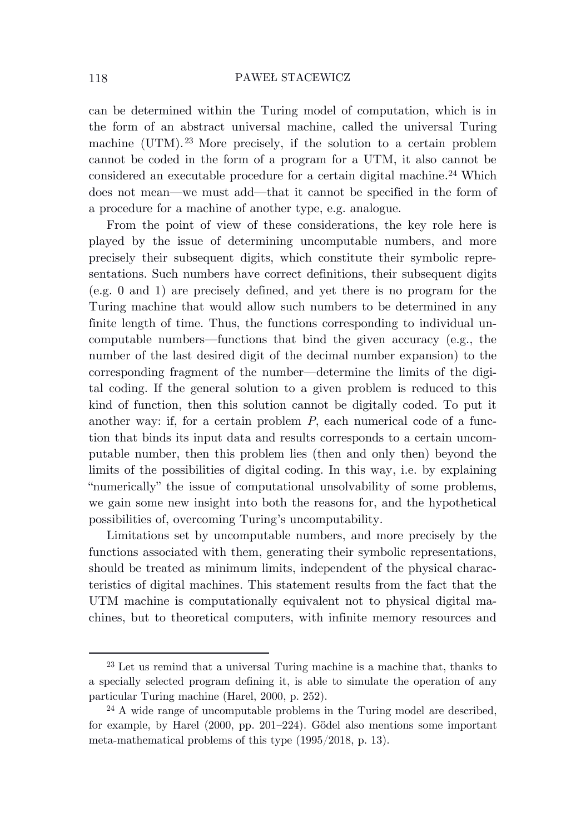can be determined within the Turing model of computation, which is in the form of an abstract universal machine, called the universal Turing machine (UTM). <sup>23</sup> More precisely, if the solution to a certain problem cannot be coded in the form of a program for a UTM, it also cannot be considered an executable procedure for a certain digital machine. <sup>24</sup> Which does not mean—we must add—that it cannot be specified in the form of a procedure for a machine of another type, e.g. analogue.

From the point of view of these considerations, the key role here is played by the issue of determining uncomputable numbers, and more precisely their subsequent digits, which constitute their symbolic representations. Such numbers have correct definitions, their subsequent digits (e.g. 0 and 1) are precisely defined, and yet there is no program for the Turing machine that would allow such numbers to be determined in any finite length of time. Thus, the functions corresponding to individual uncomputable numbers—functions that bind the given accuracy (e.g., the number of the last desired digit of the decimal number expansion) to the corresponding fragment of the number—determine the limits of the digital coding. If the general solution to a given problem is reduced to this kind of function, then this solution cannot be digitally coded. To put it another way: if, for a certain problem *P*, each numerical code of a function that binds its input data and results corresponds to a certain uncomputable number, then this problem lies (then and only then) beyond the limits of the possibilities of digital coding. In this way, i.e. by explaining "numerically" the issue of computational unsolvability of some problems, we gain some new insight into both the reasons for, and the hypothetical possibilities of, overcoming Turing's uncomputability.

Limitations set by uncomputable numbers, and more precisely by the functions associated with them, generating their symbolic representations, should be treated as minimum limits, independent of the physical characteristics of digital machines. This statement results from the fact that the UTM machine is computationally equivalent not to physical digital machines, but to theoretical computers, with infinite memory resources and

<sup>23</sup> Let us remind that a universal Turing machine is a machine that, thanks to a specially selected program defining it, is able to simulate the operation of any particular Turing machine (Harel, 2000, p. 252).

<sup>&</sup>lt;sup>24</sup> A wide range of uncomputable problems in the Turing model are described, for example, by Harel (2000, pp. 201–224). Gödel also mentions some important meta-mathematical problems of this type (1995/2018, p. 13).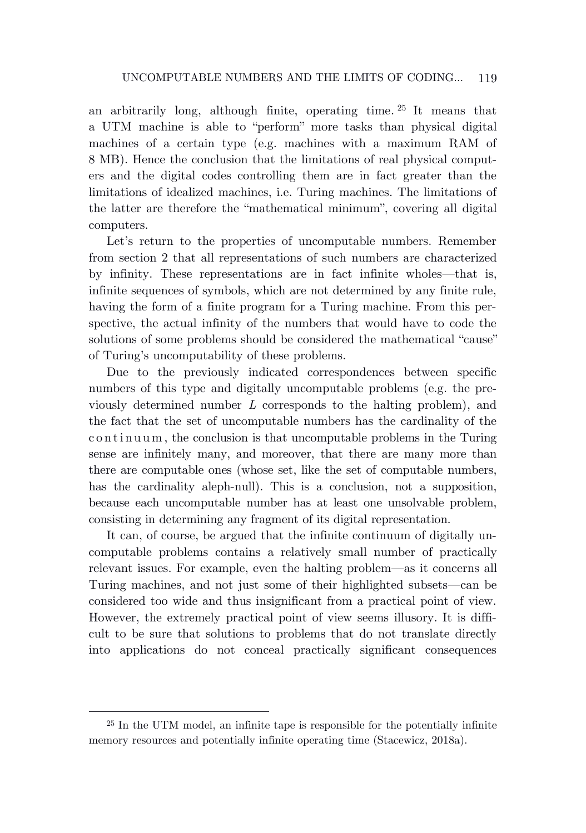an arbitrarily long, although finite, operating time. <sup>25</sup> It means that a UTM machine is able to "perform" more tasks than physical digital machines of a certain type (e.g. machines with a maximum RAM of 8 MB). Hence the conclusion that the limitations of real physical computers and the digital codes controlling them are in fact greater than the limitations of idealized machines, i.e. Turing machines. The limitations of the latter are therefore the "mathematical minimum", covering all digital computers.

Let's return to the properties of uncomputable numbers. Remember from section 2 that all representations of such numbers are characterized by infinity. These representations are in fact infinite wholes—that is, infinite sequences of symbols, which are not determined by any finite rule, having the form of a finite program for a Turing machine. From this perspective, the actual infinity of the numbers that would have to code the solutions of some problems should be considered the mathematical "cause" of Turing's uncomputability of these problems.

Due to the previously indicated correspondences between specific numbers of this type and digitally uncomputable problems (e.g. the previously determined number *L* corresponds to the halting problem), and the fact that the set of uncomputable numbers has the cardinality of the continuum , the conclusion is that uncomputable problems in the Turing sense are infinitely many, and moreover, that there are many more than there are computable ones (whose set, like the set of computable numbers, has the cardinality aleph-null). This is a conclusion, not a supposition, because each uncomputable number has at least one unsolvable problem, consisting in determining any fragment of its digital representation.

It can, of course, be argued that the infinite continuum of digitally uncomputable problems contains a relatively small number of practically relevant issues. For example, even the halting problem—as it concerns all Turing machines, and not just some of their highlighted subsets—can be considered too wide and thus insignificant from a practical point of view. However, the extremely practical point of view seems illusory. It is difficult to be sure that solutions to problems that do not translate directly into applications do not conceal practically significant consequences

<sup>25</sup> In the UTM model, an infinite tape is responsible for the potentially infinite memory resources and potentially infinite operating time (Stacewicz, 2018a).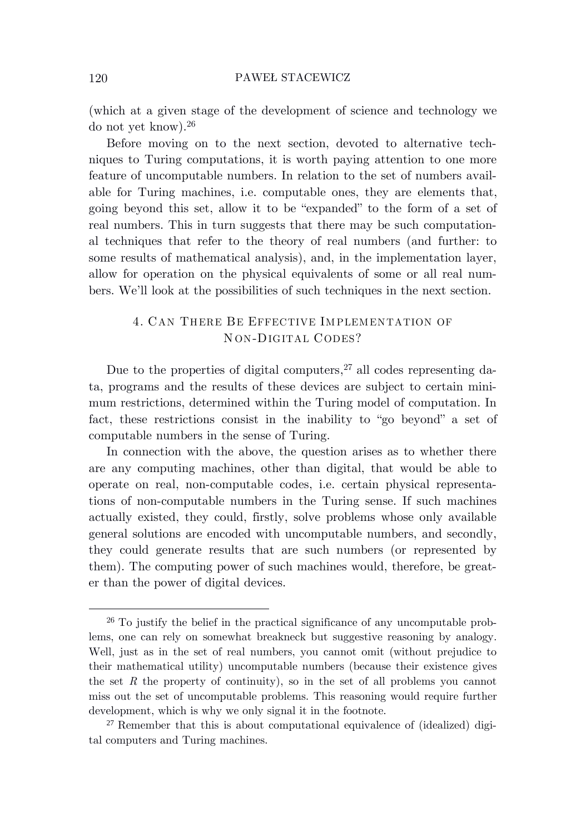(which at a given stage of the development of science and technology we do not yet know). 26

Before moving on to the next section, devoted to alternative techniques to Turing computations, it is worth paying attention to one more feature of uncomputable numbers. In relation to the set of numbers available for Turing machines, i.e. computable ones, they are elements that, going beyond this set, allow it to be "expanded" to the form of a set of real numbers. This in turn suggests that there may be such computational techniques that refer to the theory of real numbers (and further: to some results of mathematical analysis), and, in the implementation layer, allow for operation on the physical equivalents of some or all real numbers. We'll look at the possibilities of such techniques in the next section.

# 4. CAN THERE BE EFFECTIVE IM PLEMENTATION OF N ON-DIGITAL CODES?

Due to the properties of digital computers, <sup>27</sup> all codes representing data, programs and the results of these devices are subject to certain minimum restrictions, determined within the Turing model of computation. In fact, these restrictions consist in the inability to "go beyond" a set of computable numbers in the sense of Turing.

In connection with the above, the question arises as to whether there are any computing machines, other than digital, that would be able to operate on real, non-computable codes, i.e. certain physical representations of non-computable numbers in the Turing sense. If such machines actually existed, they could, firstly, solve problems whose only available general solutions are encoded with uncomputable numbers, and secondly, they could generate results that are such numbers (or represented by them). The computing power of such machines would, therefore, be greater than the power of digital devices.

<sup>26</sup> To justify the belief in the practical significance of any uncomputable problems, one can rely on somewhat breakneck but suggestive reasoning by analogy. Well, just as in the set of real numbers, you cannot omit (without prejudice to their mathematical utility) uncomputable numbers (because their existence gives the set *R* the property of continuity), so in the set of all problems you cannot miss out the set of uncomputable problems. This reasoning would require further development, which is why we only signal it in the footnote.

 $27$  Remember that this is about computational equivalence of (idealized) digital computers and Turing machines.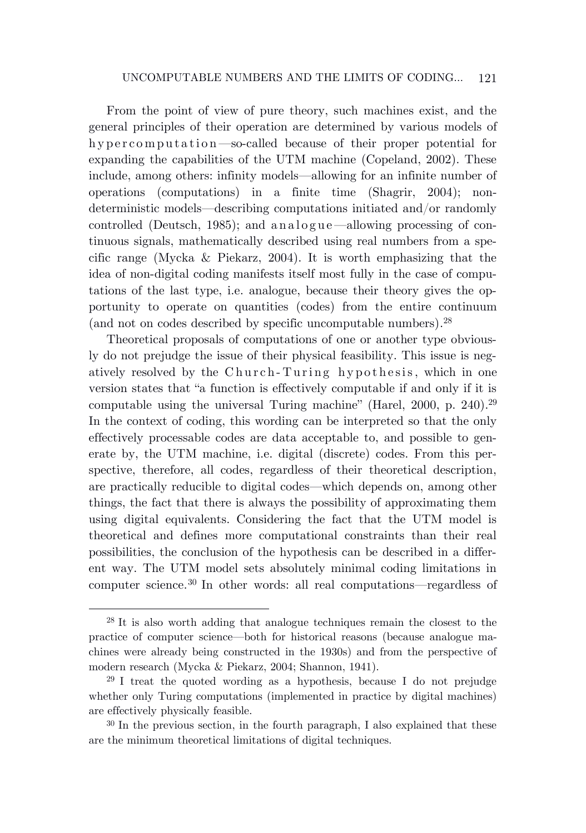From the point of view of pure theory, such machines exist, and the general principles of their operation are determined by various models of hypercomputation—so-called because of their proper potential for expanding the capabilities of the UTM machine (Copeland, 2002). These include, among others: infinity models—allowing for an infinite number of operations (computations) in a finite time (Shagrir, 2004); nondeterministic models—describing computations initiated and/or randomly controlled (Deutsch, 1985); and analog ue—allowing processing of continuous signals, mathematically described using real numbers from a specific range (Mycka & Piekarz, 2004). It is worth emphasizing that the idea of non-digital coding manifests itself most fully in the case of computations of the last type, i.e. analogue, because their theory gives the opportunity to operate on quantities (codes) from the entire continuum (and not on codes described by specific uncomputable numbers). 28

Theoretical proposals of computations of one or another type obviously do not prejudge the issue of their physical feasibility. This issue is negatively resolved by the Church-Turing hypothesis, which in one version states that "a function is effectively computable if and only if it is computable using the universal Turing machine" (Harel, 2000, p. 240). 29 In the context of coding, this wording can be interpreted so that the only effectively processable codes are data acceptable to, and possible to generate by, the UTM machine, i.e. digital (discrete) codes. From this perspective, therefore, all codes, regardless of their theoretical description, are practically reducible to digital codes—which depends on, among other things, the fact that there is always the possibility of approximating them using digital equivalents. Considering the fact that the UTM model is theoretical and defines more computational constraints than their real possibilities, the conclusion of the hypothesis can be described in a different way. The UTM model sets absolutely minimal coding limitations in computer science. <sup>30</sup> In other words: all real computations—regardless of

<sup>28</sup> It is also worth adding that analogue techniques remain the closest to the practice of computer science—both for historical reasons (because analogue machines were already being constructed in the 1930s) and from the perspective of modern research (Mycka & Piekarz, 2004; Shannon, 1941).

<sup>29</sup> I treat the quoted wording as a hypothesis, because I do not prejudge whether only Turing computations (implemented in practice by digital machines) are effectively physically feasible.

<sup>30</sup> In the previous section, in the fourth paragraph, I also explained that these are the minimum theoretical limitations of digital techniques.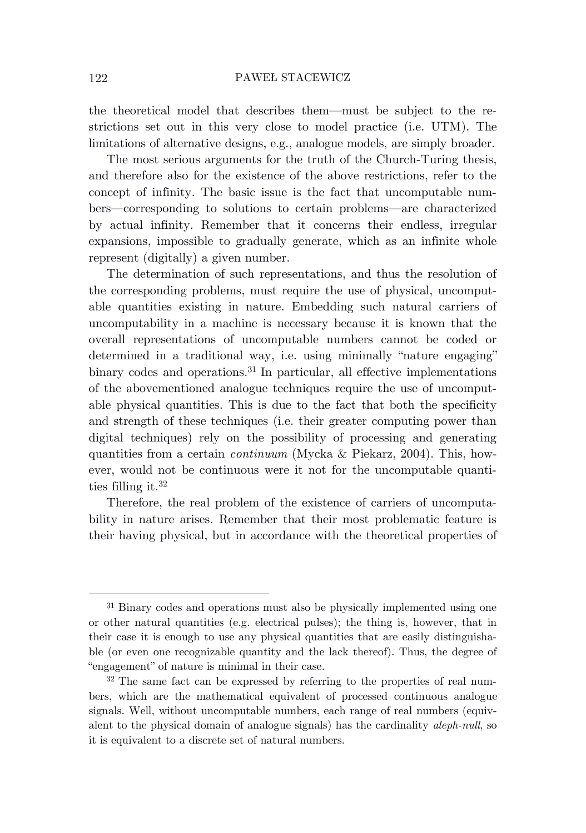the theoretical model that describes them—must be subject to the restrictions set out in this very close to model practice (i.e. UTM). The limitations of alternative designs, e.g., analogue models, are simply broader.

The most serious arguments for the truth of the Church-Turing thesis, and therefore also for the existence of the above restrictions, refer to the concept of infinity. The basic issue is the fact that uncomputable numbers—corresponding to solutions to certain problems—are characterized by actual infinity. Remember that it concerns their endless, irregular expansions, impossible to gradually generate, which as an infinite whole represent (digitally) a given number.

The determination of such representations, and thus the resolution of the corresponding problems, must require the use of physical, uncomputable quantities existing in nature. Embedding such natural carriers of uncomputability in a machine is necessary because it is known that the overall representations of uncomputable numbers cannot be coded or determined in a traditional way, i.e. using minimally "nature engaging" binary codes and operations. <sup>31</sup> In particular, all effective implementations of the abovementioned analogue techniques require the use of uncomputable physical quantities. This is due to the fact that both the specificity and strength of these techniques (i.e. their greater computing power than digital techniques) rely on the possibility of processing and generating quantities from a certain *continuum* (Mycka & Piekarz, 2004). This, however, would not be continuous were it not for the uncomputable quantities filling it. 32

Therefore, the real problem of the existence of carriers of uncomputability in nature arises. Remember that their most problematic feature is their having physical, but in accordance with the theoretical properties of

<sup>&</sup>lt;sup>31</sup> Binary codes and operations must also be physically implemented using one or other natural quantities (e.g. electrical pulses); the thing is, however, that in their case it is enough to use any physical quantities that are easily distinguishable (or even one recognizable quantity and the lack thereof). Thus, the degree of "engagement" of nature is minimal in their case.

<sup>32</sup> The same fact can be expressed by referring to the properties of real numbers, which are the mathematical equivalent of processed continuous analogue signals. Well, without uncomputable numbers, each range of real numbers (equivalent to the physical domain of analogue signals) has the cardinality *aleph-null*, so it is equivalent to a discrete set of natural numbers.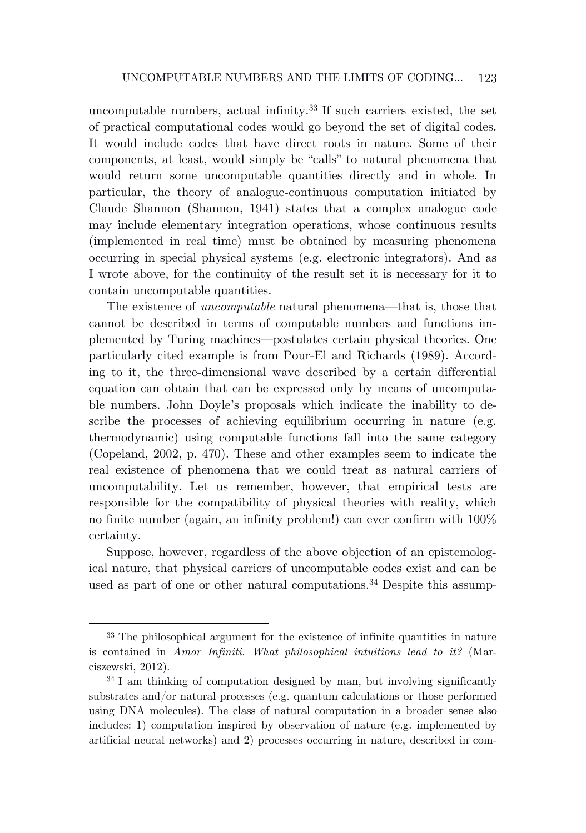uncomputable numbers, actual infinity. <sup>33</sup> If such carriers existed, the set of practical computational codes would go beyond the set of digital codes. It would include codes that have direct roots in nature. Some of their components, at least, would simply be "calls" to natural phenomena that would return some uncomputable quantities directly and in whole. In particular, the theory of analogue-continuous computation initiated by Claude Shannon (Shannon, 1941) states that a complex analogue code may include elementary integration operations, whose continuous results (implemented in real time) must be obtained by measuring phenomena occurring in special physical systems (e.g. electronic integrators). And as I wrote above, for the continuity of the result set it is necessary for it to contain uncomputable quantities.

The existence of *uncomputable* natural phenomena—that is, those that cannot be described in terms of computable numbers and functions implemented by Turing machines—postulates certain physical theories. One particularly cited example is from Pour-El and Richards (1989). According to it, the three-dimensional wave described by a certain differential equation can obtain that can be expressed only by means of uncomputable numbers. John Doyle's proposals which indicate the inability to describe the processes of achieving equilibrium occurring in nature (e.g. thermodynamic) using computable functions fall into the same category (Copeland, 2002, p. 470). These and other examples seem to indicate the real existence of phenomena that we could treat as natural carriers of uncomputability. Let us remember, however, that empirical tests are responsible for the compatibility of physical theories with reality, which no finite number (again, an infinity problem!) can ever confirm with 100% certainty.

Suppose, however, regardless of the above objection of an epistemological nature, that physical carriers of uncomputable codes exist and can be used as part of one or other natural computations. <sup>34</sup> Despite this assump-

<sup>33</sup> The philosophical argument for the existence of infinite quantities in nature is contained in *Amor Infiniti. What philosophical intuitions lead to it?* (Marciszewski, 2012).

<sup>34</sup> I am thinking of computation designed by man, but involving significantly substrates and/or natural processes (e.g. quantum calculations or those performed using DNA molecules). The class of natural computation in a broader sense also includes: 1) computation inspired by observation of nature (e.g. implemented by artificial neural networks) and 2) processes occurring in nature, described in com-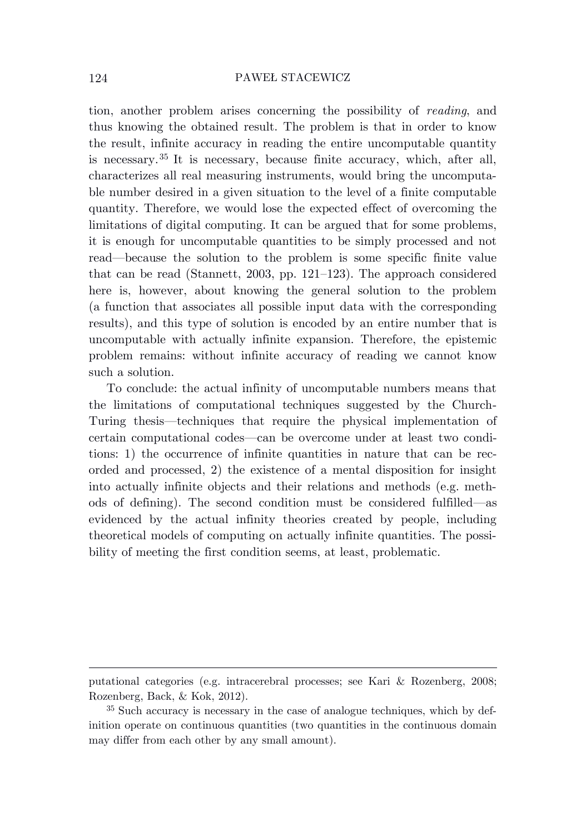tion, another problem arises concerning the possibility of *reading*, and thus knowing the obtained result. The problem is that in order to know the result, infinite accuracy in reading the entire uncomputable quantity is necessary. <sup>35</sup> It is necessary, because finite accuracy, which, after all, characterizes all real measuring instruments, would bring the uncomputable number desired in a given situation to the level of a finite computable quantity. Therefore, we would lose the expected effect of overcoming the limitations of digital computing. It can be argued that for some problems, it is enough for uncomputable quantities to be simply processed and not read—because the solution to the problem is some specific finite value that can be read (Stannett, 2003, pp. 121–123). The approach considered here is, however, about knowing the general solution to the problem (a function that associates all possible input data with the corresponding results), and this type of solution is encoded by an entire number that is uncomputable with actually infinite expansion. Therefore, the epistemic problem remains: without infinite accuracy of reading we cannot know such a solution.

To conclude: the actual infinity of uncomputable numbers means that the limitations of computational techniques suggested by the Church-Turing thesis—techniques that require the physical implementation of certain computational codes—can be overcome under at least two conditions: 1) the occurrence of infinite quantities in nature that can be recorded and processed, 2) the existence of a mental disposition for insight into actually infinite objects and their relations and methods (e.g. methods of defining). The second condition must be considered fulfilled—as evidenced by the actual infinity theories created by people, including theoretical models of computing on actually infinite quantities. The possibility of meeting the first condition seems, at least, problematic.

putational categories (e.g. intracerebral processes; see Kari & Rozenberg, 2008; Rozenberg, Back, & Kok, 2012).

<sup>35</sup> Such accuracy is necessary in the case of analogue techniques, which by definition operate on continuous quantities (two quantities in the continuous domain may differ from each other by any small amount).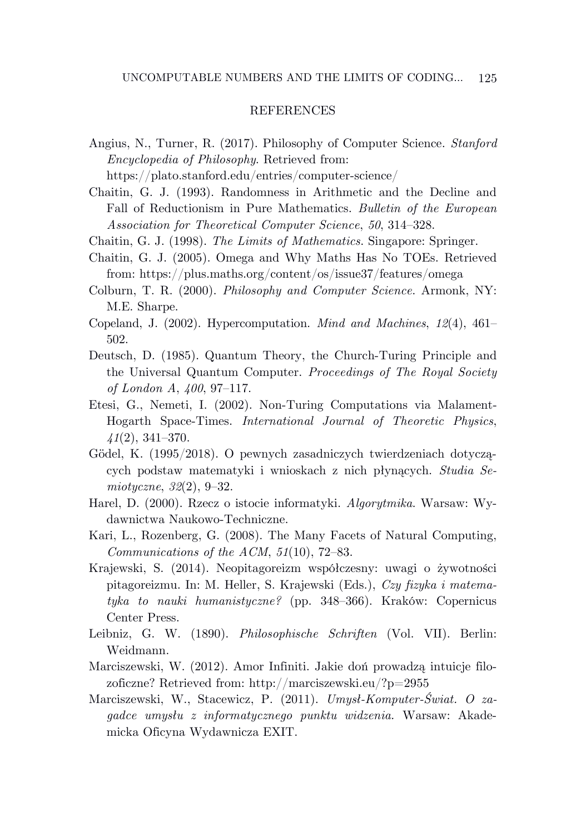# **REFERENCES**

Angius, N., Turner, R. (2017). Philosophy of Computer Science. *Stanford Encyclopedia of Philosophy*. Retrieved from:

https://plato.stanford.edu/entries/computer-science/

Chaitin, G. J. (1993). Randomness in Arithmetic and the Decline and Fall of Reductionism in Pure Mathematics. *Bulletin of the European Association for Theoretical Computer Science*, *50*, 314–328.

- Chaitin, G. J. (1998). *The Limits of Mathematics*. Singapore: Springer.
- Chaitin, G. J. (2005). Omega and Why Maths Has No TOEs. Retrieved from: https://plus.maths.org/content/os/issue37/features/omega
- Colburn, T. R. (2000). *Philosophy and Computer Science*. Armonk, NY: M.E. Sharpe.
- Copeland, J. (2002). Hypercomputation. *Mind and Machines*, *12*(4), 461– 502.
- Deutsch, D. (1985). Quantum Theory, the Church-Turing Principle and the Universal Quantum Computer. *Proceedings of The Royal Society of London A*, *400*, 97–117.
- Etesi, G., Nemeti, I. (2002). Non-Turing Computations via Malament-Hogarth Space-Times. *International Journal of Theoretic Physics*, *41*(2), 341–370.
- Gödel, K. (1995/2018). O pewnych zasadniczych twierdzeniach dotyczących podstaw matematyki i wnioskach z nich płynących. *Studia Semiotyczne*, *32*(2), 9–32.
- Harel, D. (2000). Rzecz o istocie informatyki. *Algorytmika*. Warsaw: Wydawnictwa Naukowo-Techniczne.
- Kari, L., Rozenberg, G. (2008). The Many Facets of Natural Computing, *Communications of the ACM*, *51*(10), 72–83.
- Krajewski, S. (2014). Neopitagoreizm współczesny: uwagi o żywotności pitagoreizmu. In: M. Heller, S. Krajewski (Eds.), *Czy fizyka i matematyka to nauki humanistyczne?* (pp. 348–366). Kraków: Copernicus Center Press.
- Leibniz, G. W. (1890). *Philosophische Schriften* (Vol. VII). Berlin: Weidmann.
- Marciszewski, W. (2012). Amor Infiniti. Jakie doń prowadzą intuicje filozoficzne? Retrieved from: http://marciszewski.eu/?p=2955
- Marciszewski, W., Stacewicz, P. (2011). *Umysł-Komputer-Świat. O zagadce umysłu z informatycznego punktu widzenia.* Warsaw: Akademicka Oficyna Wydawnicza EXIT.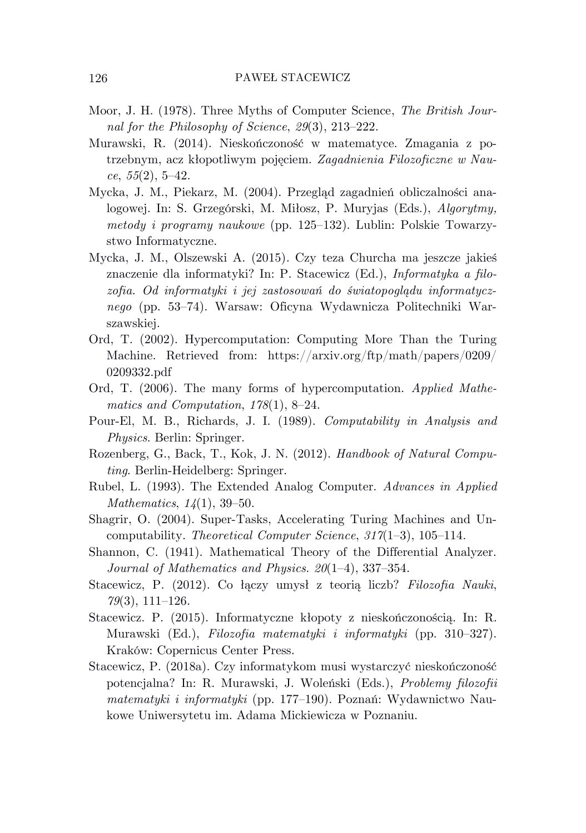- Moor, J. H. (1978). Three Myths of Computer Science, *The British Journal for the Philosophy of Science*, *29*(3), 213–222.
- Murawski, R. (2014). Nieskończoność w matematyce. Zmagania z potrzebnym, acz kłopotliwym pojęciem. *Zagadnienia Filozoficzne w Nauce*, *55*(2), 5–42.
- Mycka, J. M., Piekarz, M. (2004). Przegląd zagadnień obliczalności analogowej. In: S. Grzegórski, M. Miłosz, P. Muryjas (Eds.), *Algorytmy, metody i programy naukowe* (pp. 125–132). Lublin: Polskie Towarzystwo Informatyczne.
- Mycka, J. M., Olszewski A. (2015). Czy teza Churcha ma jeszcze jakieś znaczenie dla informatyki? In: P. Stacewicz (Ed.), *Informatyka a filozofia. Od informatyki i jej zastosowań do światopoglądu informatycznego* (pp. 53–74). Warsaw: Oficyna Wydawnicza Politechniki Warszawskiej.
- Ord, T. (2002). Hypercomputation: Computing More Than the Turing Machine. Retrieved from: https://arxiv.org/ftp/math/papers/0209/ 0209332.pdf
- Ord, T. (2006). The many forms of hypercomputation. *Applied Mathematics and Computation*, *178*(1), 8–24.
- Pour-El, M. B., Richards, J. I. (1989). *Computability in Analysis and Physics*. Berlin: Springer.
- Rozenberg, G., Back, T., Kok, J. N. (2012). *Handbook of Natural Computing*. Berlin-Heidelberg: Springer.
- Rubel, L. (1993). The Extended Analog Computer. *Advances in Applied Mathematics*, *14*(1), 39–50.
- Shagrir, O. (2004). Super-Tasks, Accelerating Turing Machines and Uncomputability. *Theoretical Computer Science*, *317*(1–3), 105–114.
- Shannon, C. (1941). Mathematical Theory of the Differential Analyzer. *Journal of Mathematics and Physics*. *20*(1–4), 337–354.
- Stacewicz, P. (2012). Co łączy umysł z teorią liczb? *Filozofia Nauki*, *79*(3), 111–126.
- Stacewicz. P. (2015). Informatyczne kłopoty z nieskończonością. In: R. Murawski (Ed.), *Filozofia matematyki i informatyki* (pp. 310–327). Kraków: Copernicus Center Press.
- Stacewicz, P. (2018a). Czy informatykom musi wystarczyć nieskończoność potencjalna? In: R. Murawski, J. Woleński (Eds.), *Problemy filozofii matematyki i informatyki* (pp. 177–190). Poznań: Wydawnictwo Naukowe Uniwersytetu im. Adama Mickiewicza w Poznaniu.